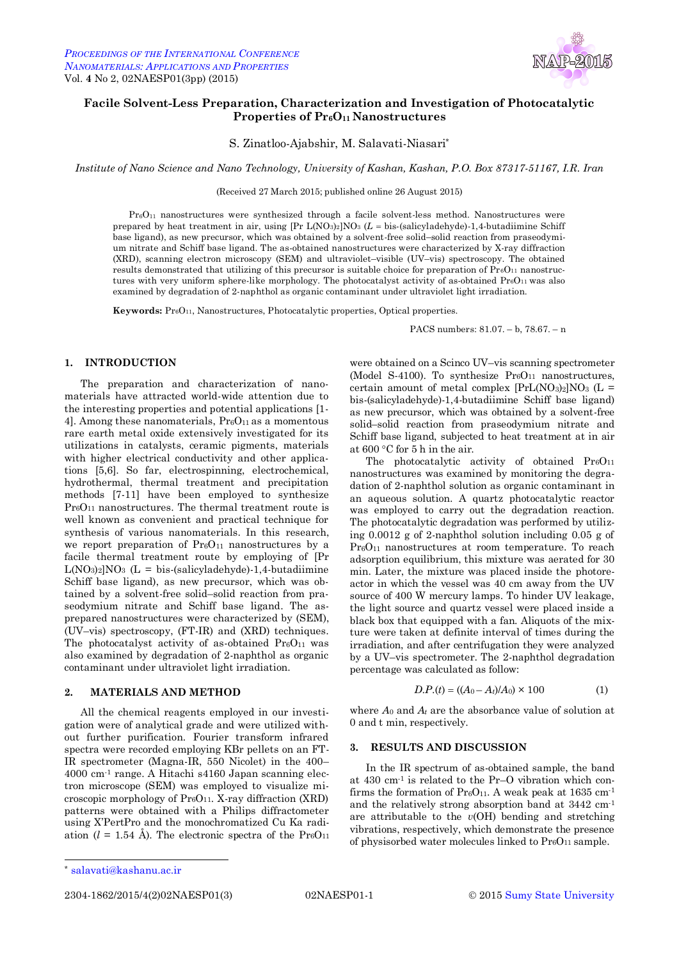

# **Facile Solvent-Less Preparation, Characterization and Investigation of Photocatalytic Properties of Pr6O11 Nanostructures**

S. Zinatloo-Ajabshir, M. Salavati-Niasari\*

*Institute of Nano Science and Nano Technology, University of Kashan, Kashan, P.O. Box 87317-51167, I.R. Iran*

(Received 27 March 2015; published online 26 August 2015)

 $Pr<sub>6</sub>O<sub>11</sub>$  nanostructures were synthesized through a facile solvent-less method. Nanostructures were prepared by heat treatment in air, using [Pr L(NO3)2]NO<sup>3</sup> (*L* bis-(salicyladehyde)-1,4-butadiimine Schiff base ligand), as new precursor, which was obtained by a solvent-free solid–solid reaction from praseodymium nitrate and Schiff base ligand. The as-obtained nanostructures were characterized by X-ray diffraction (XRD), scanning electron microscopy (SEM) and ultraviolet–visible (UV–vis) spectroscopy. The obtained results demonstrated that utilizing of this precursor is suitable choice for preparation of  $Pr_6O_{11}$  nanostructures with very uniform sphere-like morphology. The photocatalyst activity of as-obtained  $Pr_6O_{11}$  was also examined by degradation of 2-naphthol as organic contaminant under ultraviolet light irradiation.

**Keywords:** Pr<sub>6</sub>O<sub>11</sub>, Nanostructures, Photocatalytic properties, Optical properties.

PACS numbers: 81.07. – b, 78.67. – n

## **1. INTRODUCTION**

The preparation and characterization of nanomaterials have attracted world-wide attention due to the interesting properties and potential applications [1- 4]. Among these nanomaterials,  $Pr<sub>6</sub>O<sub>11</sub>$  as a momentous rare earth metal oxide extensively investigated for its utilizations in catalysts, ceramic pigments, materials with higher electrical conductivity and other applications [5,6]. So far, electrospinning, electrochemical, hydrothermal, thermal treatment and precipitation methods [7-11] have been employed to synthesize Pr<sub>6</sub>O<sub>11</sub> nanostructures. The thermal treatment route is well known as convenient and practical technique for synthesis of various nanomaterials. In this research, we report preparation of Pr<sub>6</sub>O<sub>11</sub> nanostructures by a facile thermal treatment route by employing of [Pr  $L(NO_3)_2|NO_3$  (L = bis-(salicyladehyde)-1,4-butadiimine Schiff base ligand), as new precursor, which was obtained by a solvent-free solid–solid reaction from praseodymium nitrate and Schiff base ligand. The asprepared nanostructures were characterized by (SEM), (UV–vis) spectroscopy, (FT-IR) and (XRD) techniques. The photocatalyst activity of as-obtained  $Pr<sub>6</sub>O<sub>11</sub>$  was also examined by degradation of 2-naphthol as organic contaminant under ultraviolet light irradiation.

## **2. MATERIALS AND METHOD**

All the chemical reagents employed in our investigation were of analytical grade and were utilized without further purification. Fourier transform infrared spectra were recorded employing KBr pellets on an FT-IR spectrometer (Magna-IR, 550 Nicolet) in the 400– 4000 cm-1 range. A Hitachi s4160 Japan scanning electron microscope (SEM) was employed to visualize microscopic morphology of Pr<sub>6</sub>O<sub>11</sub>. X-ray diffraction (XRD) patterns were obtained with a Philips diffractometer using X'PertPro and the monochromatized Cu Ka radiation ( $l = 1.54$  Å). The electronic spectra of the  $Pr_6O_{11}$ 

were obtained on a Scinco UV–vis scanning spectrometer (Model S-4100). To synthesize  $Pr<sub>6</sub>O<sub>11</sub>$  nanostructures, certain amount of metal complex  $[PrL(NO<sub>3</sub>)<sub>2</sub>]NO<sub>3</sub>$  (L = bis-(salicyladehyde)-1,4-butadiimine Schiff base ligand) as new precursor, which was obtained by a solvent-free solid–solid reaction from praseodymium nitrate and Schiff base ligand, subjected to heat treatment at in air at  $600 °C$  for 5 h in the air.

The photocatalytic activity of obtained  $Pr_6O_{11}$ nanostructures was examined by monitoring the degradation of 2-naphthol solution as organic contaminant in an aqueous solution. A quartz photocatalytic reactor was employed to carry out the degradation reaction. The photocatalytic degradation was performed by utilizing 0.0012 g of 2-naphthol solution including 0.05 g of Pr<sub>6</sub>O<sub>11</sub> nanostructures at room temperature. To reach adsorption equilibrium, this mixture was aerated for 30 min. Later, the mixture was placed inside the photoreactor in which the vessel was 40 cm away from the UV source of 400 W mercury lamps. To hinder UV leakage, the light source and quartz vessel were placed inside a black box that equipped with a fan. Aliquots of the mixture were taken at definite interval of times during the irradiation, and after centrifugation they were analyzed by a UV–vis spectrometer. The 2-naphthol degradation percentage was calculated as follow:

$$
D.P.(t) = ((A0 - At)/A0) \times 100
$$
 (1)

where  $A_0$  and  $A_t$  are the absorbance value of solution at 0 and t min, respectively.

#### **3. RESULTS AND DISCUSSION**

In the IR spectrum of as-obtained sample, the band at 430 cm-1 is related to the Pr–O vibration which confirms the formation of  $Pr_6O_{11}$ . A weak peak at 1635 cm<sup>-1</sup> and the relatively strong absorption band at 3442 cm-1 are attributable to the *v*(OH) bending and stretching vibrations, respectively, which demonstrate the presence of physisorbed water molecules linked to  $Pr<sub>6</sub>O<sub>11</sub>$  sample.

l

2304-1862/2015/4(2)02NAESP01(3) 02NAESP01-1 © 2015 Sumy State University

<sup>\*</sup> salavati@kashanu.ac.ir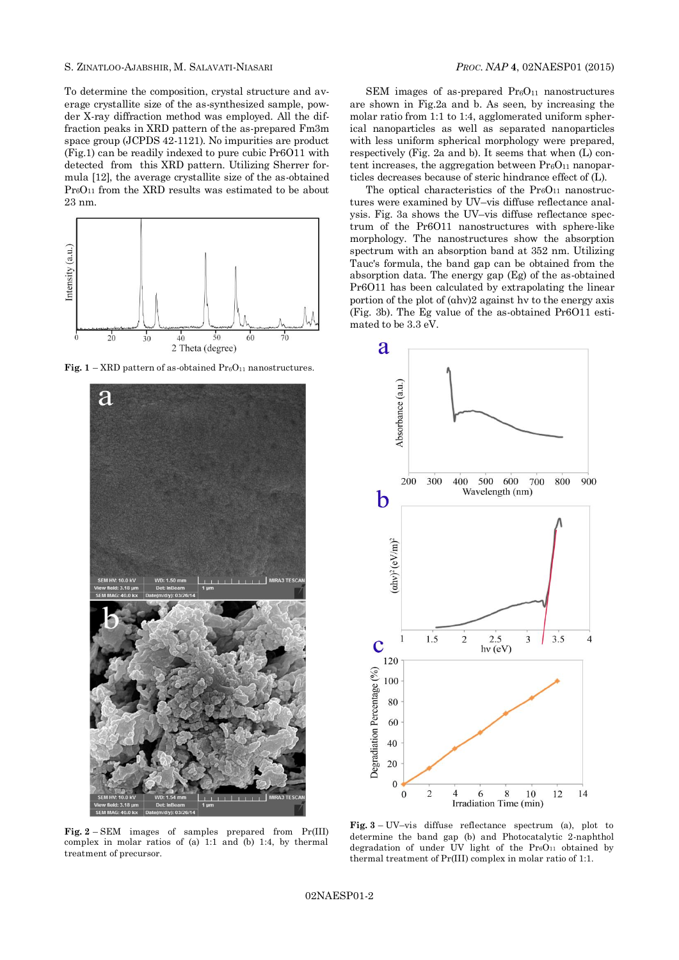To determine the composition, crystal structure and average crystallite size of the as-synthesized sample, powder X-ray diffraction method was employed. All the diffraction peaks in XRD pattern of the as-prepared Fm3m space group (JCPDS 42-1121). No impurities are product (Fig.1) can be readily indexed to pure cubic Pr6O11 with detected from this XRD pattern. Utilizing Sherrer formula [12], the average crystallite size of the as-obtained Pr6O<sup>11</sup> from the XRD results was estimated to be about 23 nm.



**Fig.**  $1 - \text{XRD}$  pattern of as-obtained  $\text{Pr}_6\text{O}_{11}$  nanostructures.



SEM images of as-prepared  $Pr<sub>6</sub>O<sub>11</sub>$  nanostructures are shown in Fig.2a and b. As seen, by increasing the molar ratio from 1:1 to 1:4, agglomerated uniform spherical nanoparticles as well as separated nanoparticles with less uniform spherical morphology were prepared, respectively (Fig. 2a and b). It seems that when (L) content increases, the aggregation between  $Pr_6O_{11}$  nanoparticles decreases because of steric hindrance effect of (L).

The optical characteristics of the  $PreO<sub>11</sub>$  nanostructures were examined by UV–vis diffuse reflectance analysis. Fig. 3a shows the UV–vis diffuse reflectance spectrum of the Pr6O11 nanostructures with sphere-like morphology. The nanostructures show the absorption spectrum with an absorption band at 352 nm. Utilizing Tauc's formula, the band gap can be obtained from the absorption data. The energy gap (Eg) of the as-obtained Pr6O11 has been calculated by extrapolating the linear portion of the plot of (αhν)2 against hν to the energy axis (Fig. 3b). The Eg value of the as-obtained Pr6O11 estimated to be 3.3 eV.



**Fig. 2** – SEM images of samples prepared from Pr(III) complex in molar ratios of (a) 1:1 and (b) 1:4, by thermal treatment of precursor.

**Fig. 3** – UV–vis diffuse reflectance spectrum (a), plot to determine the band gap (b) and Photocatalytic 2-naphthol degradation of under UV light of the  $Pr_6O_{11}$  obtained by thermal treatment of Pr(III) complex in molar ratio of 1:1.